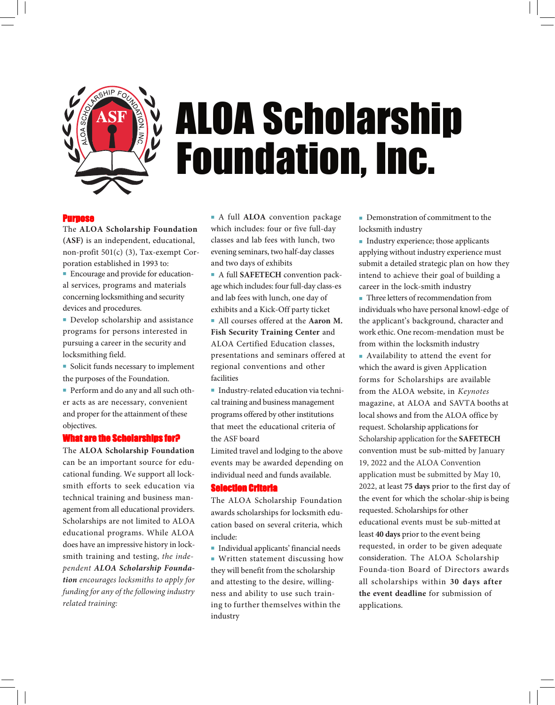

# ALOA Scholarship Foundation, Inc.

#### Purpose

The **ALOA Scholarship Foundation (ASF)** is an independent, educational, non-profit 501(c) (3), Tax-exempt Corporation established in 1993 to:

 Encourage and provide for educational services, programs and materials concerning locksmithing and security devices and procedures.

**Develop scholarship and assistance** programs for persons interested in pursuing a career in the security and locksmithing field.

**Solicit funds necessary to implement** the purposes of the Foundation.

 Perform and do any and all such other acts as are necessary, convenient and proper for the attainment of these objectives.

#### What are the Scholarships for?

The **ALOA Scholarship Foundation** can be an important source for educational funding. We support all locksmith efforts to seek education via technical training and business management from all educational providers. Scholarships are not limited to ALOA educational programs. While ALOA does have an impressive history in locksmith training and testing, *the independent ALOA Scholarship Foundation encourages locksmiths to apply for funding for any of the following industry related training:*

 A full **ALOA** convention package which includes: four or five full-day classes and lab fees with lunch, two evening seminars, two half-day classes and two days of exhibits

 A full **SAFETECH** convention package which includes: four full-day class-es and lab fees with lunch, one day of exhibits and a Kick-Off party ticket

 All courses offered at the **Aaron M. Fish Security Training Center** and ALOA Certified Education classes, presentations and seminars offered at regional conventions and other facilities

**Industry-related education via techni**cal training and business management programs offered by other institutions that meet the educational criteria of the ASF board

Limited travel and lodging to the above events may be awarded depending on individual need and funds available.

## Selection Criteria

The ALOA Scholarship Foundation awards scholarships for locksmith education based on several criteria, which include:

 Individual applicants' financial needs Written statement discussing how they will benefit from the scholarship and attesting to the desire, willingness and ability to use such training to further themselves within the industry

Demonstration of commitment to the locksmith industry

Industry experience; those applicants applying without industry experience must submit a detailed strategic plan on how they intend to achieve their goal of building a career in the lock-smith industry

Three letters of recommendation from individuals who have personal knowl-edge of the applicant's background, character and work ethic. One recom-mendation must be from within the locksmith industry

 Availability to attend the event for which the award is given Application forms for Scholarships are available from the ALOA website, in *Keynotes* magazine, at ALOA and SAVTA booths at local shows and from the ALOA office by request. Scholarship applications for Scholarship application for the **SAFETECH** convention must be sub-mitted by January 19, 2022 and the ALOA Convention application must be submitted by May 10, 2022, at least **75 days** prior to the first day of the event for which the scholar-ship is being requested. Scholarships for other educational events must be sub-mitted at least **40 days** prior to the event being requested, in order to be given adequate consideration. The ALOA Scholarship Founda-tion Board of Directors awards all scholarships within **30 days after the event deadline** for submission of applications.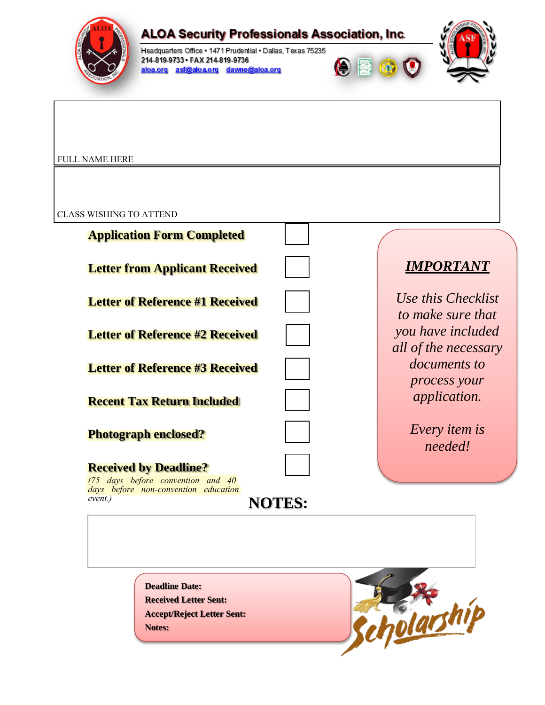

# **ALOA Security Professionals Association, Inc.**

Headquarters Office . 1471 Prudential . Dallas, Texas 75235 214-819-9733 - FAX 214-819-9736 aloa.org asf@aloa.org dawne@aloa.org





FULL NAME HERE

CLASS WISHING TO ATTEND

| <b>IMPORTANT</b><br><b>Letter from Applicant Received</b><br>Use this Checklist<br><b>Letter of Reference #1 Received</b><br>to make sure that<br>you have included<br><b>Letter of Reference #2 Received</b><br>all of the necessary<br><i>documents to</i><br><b>Letter of Reference #3 Received</b><br>process your<br><i>application.</i><br><b>Recent Tax Return Included</b><br><i>Every item is</i><br><b>Photograph enclosed?</b><br>needed!<br><b>Received by Deadline?</b><br>$(75$ days before convention and $40$<br>days before non-convention education<br>event.)<br><b>NOTES:</b> | <b>Application Form Completed</b> |  |
|---------------------------------------------------------------------------------------------------------------------------------------------------------------------------------------------------------------------------------------------------------------------------------------------------------------------------------------------------------------------------------------------------------------------------------------------------------------------------------------------------------------------------------------------------------------------------------------------------|-----------------------------------|--|
|                                                                                                                                                                                                                                                                                                                                                                                                                                                                                                                                                                                                   |                                   |  |
|                                                                                                                                                                                                                                                                                                                                                                                                                                                                                                                                                                                                   |                                   |  |
|                                                                                                                                                                                                                                                                                                                                                                                                                                                                                                                                                                                                   |                                   |  |
|                                                                                                                                                                                                                                                                                                                                                                                                                                                                                                                                                                                                   |                                   |  |
|                                                                                                                                                                                                                                                                                                                                                                                                                                                                                                                                                                                                   |                                   |  |
|                                                                                                                                                                                                                                                                                                                                                                                                                                                                                                                                                                                                   |                                   |  |
|                                                                                                                                                                                                                                                                                                                                                                                                                                                                                                                                                                                                   |                                   |  |
|                                                                                                                                                                                                                                                                                                                                                                                                                                                                                                                                                                                                   |                                   |  |
|                                                                                                                                                                                                                                                                                                                                                                                                                                                                                                                                                                                                   |                                   |  |
|                                                                                                                                                                                                                                                                                                                                                                                                                                                                                                                                                                                                   |                                   |  |

**Deadline Date: Received Letter Sent: Accept/Reject Letter Sent: Notes:**